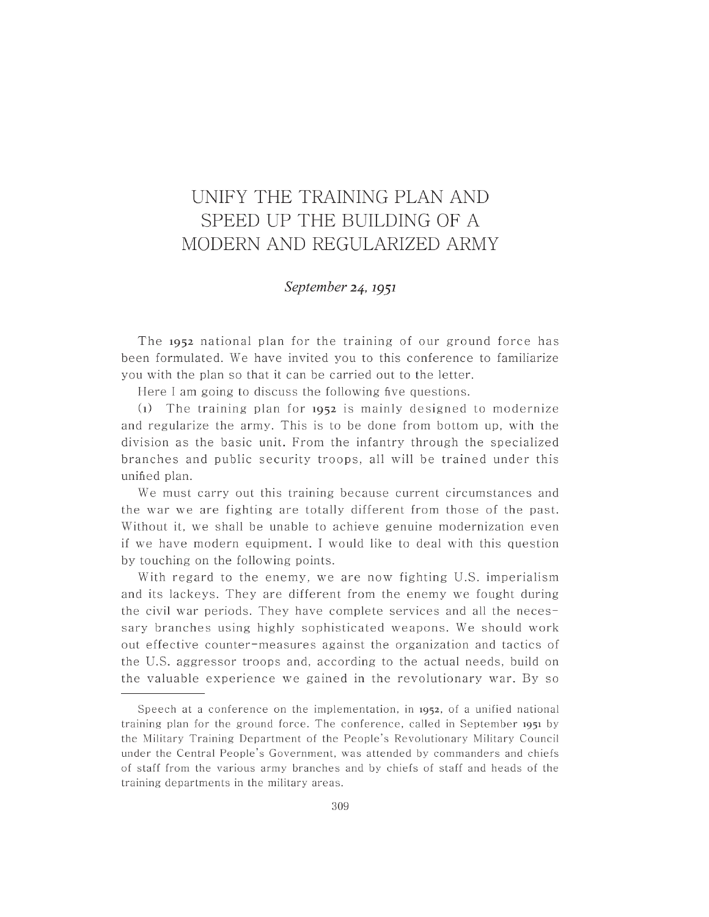## UNIFY THE TRAINING PLAN AND SPEED UP THE BUILDING OF A MODERN AND REGULARIZED ARMY

## *September* 24, 1951

The **1952** national plan for the training of our ground force has been formulated. We have invited you to this conference to familiarize you with the plan so that it can be carried out to the letter.

Here I am going to discuss the following five questions.

(1) The training plan for 1952 is mainly designed to modernize and regularize the army. This is to be done from bottom up, with the division as the basic unit. From the infantry through the specialized branches and public security troops, all will be trained under this unified plan.

We must carry out this training because current circumstances and the war we are fighting are totally different from those of the past. Without it, we shall be unable to achieve genuine modernization even if we have modern equipment. I would like to deal with this question by touching on the following points.

With regard to the enemy, we are now fighting U.S. imperialism and its lackeys. They are different from the enemy we fought during the civil war periods. They have complete services and all the necessary branches using highly sophisticated weapons. We should work out effective counter-measures against the organization and tactics of the U.S. aggressor troops and, according to the actual needs, build on the valuable experience we gained in the revolutionary war. By so

Speech at a conference on the implementation, in  $1952$ , of a unified national training plan for the ground force. The conference, called in September **1951** by the Military Training Department of the People's Revolutionary Military Council under the Central People's Government, was attended by commanders and chiefs of staff from the various army br anches and by chiefs of staff and heads of the training departments in the military areas.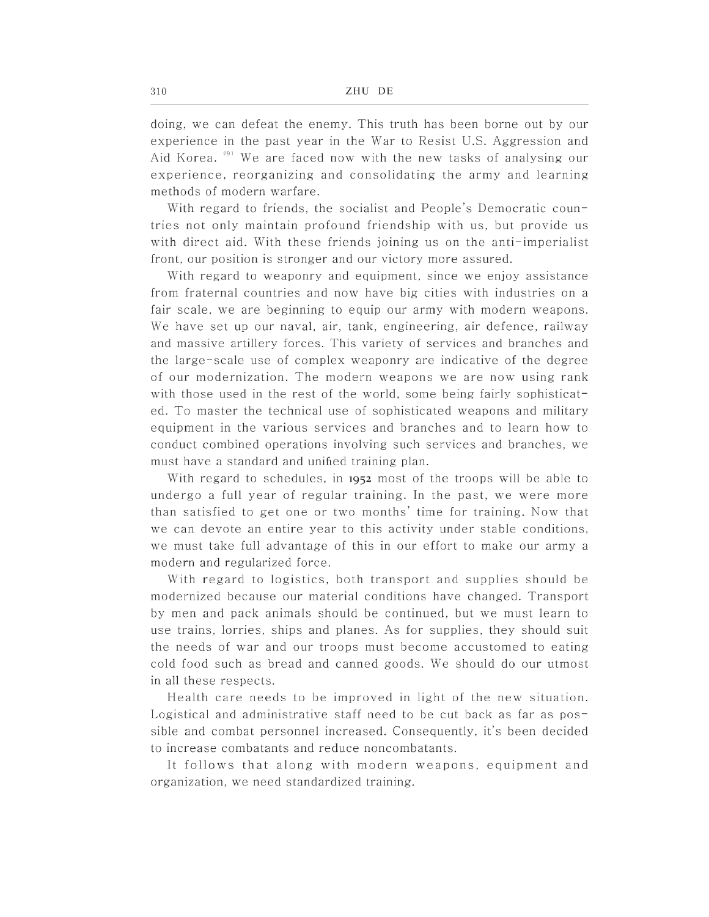doing, we can defeat the enemy. This truth has been borne out by our **experience in the past year in the War to Resist** U.S. **Aggre ssion and**  Aid Korea.<sup>291</sup> We are faced now with the new tasks of analysing our experience, reorganizing and consolidating the army and learning methods of modern warfare.

With regard to friends, the socialist and People's Democratic countries not only maintain profound friendship with us, but provide us with direct aid. With these friends joining us on the anti-imperialist front, our position is stronger and our victory more assured.

With regard to weaponry and equipment, since we enjoy assistance from fraternal countries and now have big cities with industries on a fair scale, we are beginning to equip our army with modern weapons. We have set up our naval, air, tank, engineering, air defence, railway and massive artillery forces. This variety of services and branches and the large-scale use of complex weaponry are indicative of the degree of our modernization. The modern weapons we are now using rank with those used in the rest of the world, some being fairly sophisticated. To master the technical use of sophisticated weapons and military equipment in the various services and branches and to learn how to conduct combined operations involving such services and branches, we must have a standard and unified training plan.

With regard to schedules, in 1952 most of the troops will be able to undergo a full year of regular training. In the past, we were more than satisfied to get one or two months' time for training. Now that we can devote an entire year to this activity under stable conditions, we must take full advantage of this in our effort to make our army a modern and regularized force.

With regard to logistics, both transport and supplies should be modernized because our material conditions have changed. Transport by men and pack animals should be continued, but we must learn to use trains, lorries, ships and planes. As for supplies, they should suit the needs of war and our troops must become accustomed to eating cold food such as bread and canned goods. We should do our utmost in all these respects.

Health care needs to be improved in light of the new situation. Logistical and administrative staff need to be cut back as far as possible and combat personnel increased. Consequently, it's been decided to increase combatants and reduce noncombatants.

It follows that along with modern weapons, equipment and organization, we need standardized training.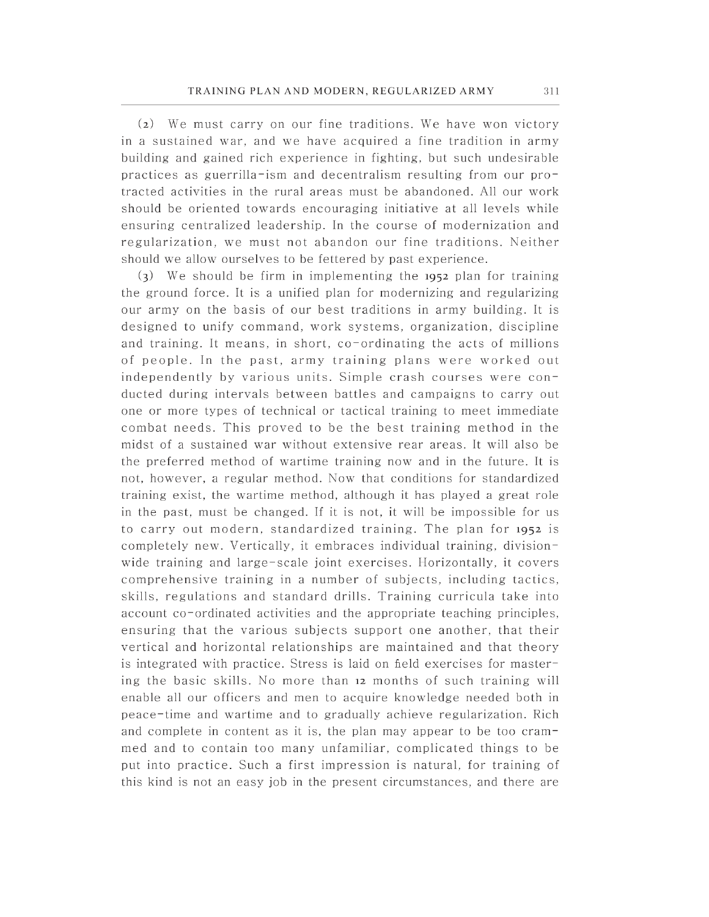$(a)$  We must carry on our fine traditions. We have won victory in a sustained war, and we have acquired a fine tradition in army building and gained rich experience in fighting, but such undesirable practices as guerrilla-ism and decentralism resulting from our protracted activities in the rural areas must be abandoned. All our work should be oriented towards encouraging initiative at all levels while ensuring centralized leadership. In the course of modernization and regularization, we must not abandon our fine traditions. Neither should we allow ourselves to be fettered by past experience .

 $(3)$  We should be firm in implementing the **1952** plan for training the ground force. It is a unified plan for modernizing and regularizing our army on the basis of our best traditions in army building. It is designed to unify command, work systems, organization, discipline and training. It means, in short, co-ordinating the acts of millions of people. In the past, army training plans were worked out independently by various units. Simple crash courses were conducted during intervals between battles and campaigns to carry out one or more types of technical or tactical training to meet immediate combat needs. This proved to be the best training method in the midst of a sustained war without extensive rear areas. It will also be the preferred method of wartime training now and in the future. It is not, however, a regular method. Now that conditions for standardized training exist, the wartime method, although it has played a great role in the past, must be changed. If it is not, it will be impossible for us to carry out modern, standardized training. The plan for 1952 is completely new. Vertically, it embraces individual training, divisionwide training and large-scale joint exercises. Horizontally, it covers comprehensive training in a number of subjects, including tactics, skills, regulations and standard drills. Training curricula take into account co-ordinated activities and the appropriate teaching principles, ensuring that the various subjects support one another, that their vertical and horizontal relationships are maintained and that theory is integrated with practice. Stress is laid on field exercises for mastering the basic skills. No more than 12 months of such training will enable all our officers and men to acquire knowledge needed both in peace-time and wartime and to gradually achieve regularization. Rich and complete in content as it is, the plan may appear to be too crammed and to contain too many unfamiliar, complicated things to be put into practice. Such a first impression is natural, for training of this kind is not an easy job in the present circumstances, and there are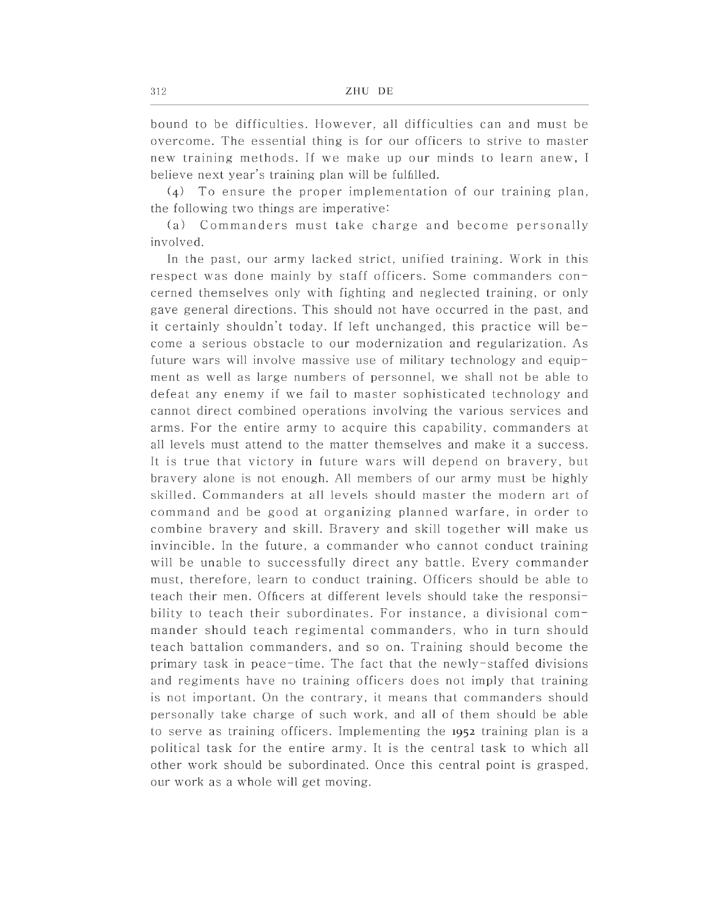bound to be difficulties. However, all difficulties can and must be overcome. The essential thing is for our officers to strive to master new training methods. If we make up our minds to learn anew, I believe next year's training plan will be fulfilled.

 $(4)$  To ensure the proper implementation of our training plan, the following two things are imperative:

(a) Commanders must take charge and become personally involved.

In the past, our army lacked strict, unified training. Work in this respect was done mainly by staff officers. Some commanders concerned themselves only with fighting and neglected training, or only gave general directions. This should not have occurred in the past, and it certainly shouldn't today. If left unchanged, this practice will become a serious obstacle to our modernization and regularization. As future wars will involve massive use of military technology and equipment as well as large numbers of personnel, we shall not be able to defeat any enemy if we fail to master sophisticated technology and cannot direct combined operations involving the various services and arms. For the entire army to acquire this capability, commanders at all levels must attend to the matter themselves and make it a success. It is true that victory in future wars will depend on bravery, but bravery alone is not enough. All members of our army must be highly skilled. Commanders at all levels should master the modern art of command and be good at organizing planned warfare, in order to combine bravery and skill. Bravery and skill together will make us invincible. In the future, a commander who cannot conduct training will be unable to successfully direct any battle. Every commander must, therefore, learn to conduct training. Officers should be able to teach their men. Officers at different levels should take the responsibility to teach their subordinates. For instance, a divisional commander should teach regimental commanders, who in turn should teach battalion commanders, and so on. Training should become the primary task in peace-time. The fact that the newly-staffed divisions and regiments have no training officers does not imply that training is not important. On the contrary, it means that commanders should personally take charge of such work, and all of them should be able to serve as training officers. Implementing the 1952 training plan is a political task for the entire army. It is the central task to which all other work should be subordinated. Once this central point is grasped, our work as a whole will get moving.